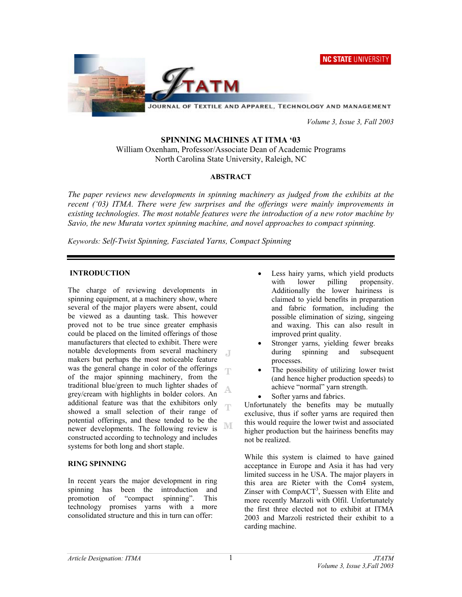



JOURNAL OF TEXTILE AND APPAREL, TECHNOLOGY AND MANAGEMENT

 *Volume 3, Issue 3, Fall 2003* 

### **SPINNING MACHINES AT ITMA '03**

William Oxenham, Professor/Associate Dean of Academic Programs North Carolina State University, Raleigh, NC

# **ABSTRACT**

*The paper reviews new developments in spinning machinery as judged from the exhibits at the recent ('03) ITMA. There were few surprises and the offerings were mainly improvements in existing technologies. The most notable features were the introduction of a new rotor machine by Savio, the new Murata vortex spinning machine, and novel approaches to compact spinning.* 

*Keywords: Self-Twist Spinning, Fasciated Yarns, Compact Spinning*

## **INTRODUCTION**

The charge of reviewing developments in spinning equipment, at a machinery show, where several of the major players were absent, could be viewed as a daunting task. This however proved not to be true since greater emphasis could be placed on the limited offerings of those manufacturers that elected to exhibit. There were notable developments from several machinery  $\Box$ makers but perhaps the most noticeable feature was the general change in color of the offerings of the major spinning machinery, from the traditional blue/green to much lighter shades of A grey/cream with highlights in bolder colors. An additional feature was that the exhibitors only T showed a small selection of their range of potential offerings, and these tended to be the NΓ newer developments. The following review is constructed according to technology and includes systems for both long and short staple.

### **RING SPINNING**

In recent years the major development in ring spinning has been the introduction and promotion of "compact spinning". This technology promises yarns with a more consolidated structure and this in turn can offer:

- Less hairy yarns, which yield products with lower pilling propensity. Additionally the lower hairiness is claimed to yield benefits in preparation and fabric formation, including the possible elimination of sizing, singeing and waxing. This can also result in improved print quality.
- Stronger yarns, yielding fewer breaks during spinning and subsequent processes.
- The possibility of utilizing lower twist (and hence higher production speeds) to achieve "normal" yarn strength.
- Softer yarns and fabrics.

Unfortunately the benefits may be mutually exclusive, thus if softer yarns are required then this would require the lower twist and associated higher production but the hairiness benefits may not be realized.

While this system is claimed to have gained acceptance in Europe and Asia it has had very limited success in he USA. The major players in this area are Rieter with the Com4 system, Zinser with  $CompACT<sup>3</sup>$ , Suessen with Elite and more recently Marzoli with Olfil. Unfortunately the first three elected not to exhibit at ITMA 2003 and Marzoli restricted their exhibit to a carding machine.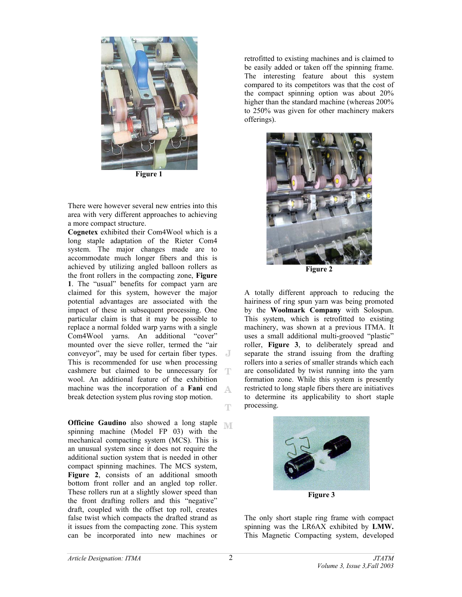

**Figure 1** 

There were however several new entries into this area with very different approaches to achieving a more compact structure.

**Cognetex** exhibited their Com4Wool which is a long staple adaptation of the Rieter Com4 system. The major changes made are to accommodate much longer fibers and this is achieved by utilizing angled balloon rollers as the front rollers in the compacting zone, **Figure 1**. The "usual" benefits for compact yarn are claimed for this system, however the major potential advantages are associated with the impact of these in subsequent processing. One particular claim is that it may be possible to replace a normal folded warp yarns with a single Com4Wool yarns. An additional "cover" mounted over the sieve roller, termed the "air conveyor", may be used for certain fiber types. This is recommended for use when processing cashmere but claimed to be unnecessary for wool. An additional feature of the exhibition machine was the incorporation of a **Fani** end break detection system plus roving stop motion.

**Officine Gaudino** also showed a long staple spinning machine (Model FP 03) with the mechanical compacting system (MCS). This is an unusual system since it does not require the additional suction system that is needed in other compact spinning machines. The MCS system, Figure 2, consists of an additional smooth bottom front roller and an angled top roller. These rollers run at a slightly slower speed than the front drafting rollers and this "negative" draft, coupled with the offset top roll, creates false twist which compacts the drafted strand as it issues from the compacting zone. This system can be incorporated into new machines or

retrofitted to existing machines and is claimed to be easily added or taken off the spinning frame. The interesting feature about this system compared to its competitors was that the cost of the compact spinning option was about 20% higher than the standard machine (whereas 200% to 250% was given for other machinery makers offerings).



**Figure 2** 

A totally different approach to reducing the hairiness of ring spun yarn was being promoted by the **Woolmark Company** with Solospun. This system, which is retrofitted to existing machinery, was shown at a previous ITMA. It uses a small additional multi-grooved "plastic" roller, **Figure 3**, to deliberately spread and separate the strand issuing from the drafting rollers into a series of smaller strands which each are consolidated by twist running into the yarn formation zone. While this system is presently restricted to long staple fibers there are initiatives to determine its applicability to short staple processing.



**Figure 3** 

The only short staple ring frame with compact spinning was the LR6AX exhibited by **LMW.** This Magnetic Compacting system, developed

A

Ŧ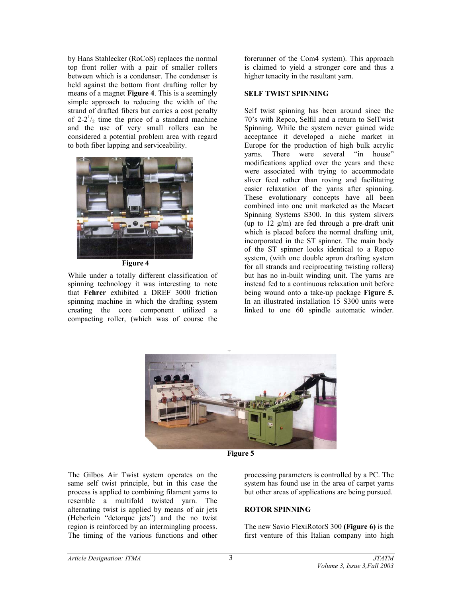by Hans Stahlecker (RoCoS) replaces the normal top front roller with a pair of smaller rollers between which is a condenser. The condenser is held against the bottom front drafting roller by means of a magnet **Figure 4**. This is a seemingly simple approach to reducing the width of the strand of drafted fibers but carries a cost penalty of  $2-2^{\frac{1}{2}}$  time the price of a standard machine and the use of very small rollers can be considered a potential problem area with regard to both fiber lapping and serviceability.



**Figure 4** 

While under a totally different classification of spinning technology it was interesting to note that **Fehrer** exhibited a DREF 3000 friction spinning machine in which the drafting system creating the core component utilized a compacting roller, (which was of course the

forerunner of the Com4 system). This approach is claimed to yield a stronger core and thus a higher tenacity in the resultant yarn.

## **SELF TWIST SPINNING**

Self twist spinning has been around since the 70's with Repco, Selfil and a return to SelTwist Spinning. While the system never gained wide acceptance it developed a niche market in Europe for the production of high bulk acrylic yarns. There were several "in house" modifications applied over the years and these were associated with trying to accommodate sliver feed rather than roving and facilitating easier relaxation of the yarns after spinning. These evolutionary concepts have all been combined into one unit marketed as the Macart Spinning Systems S300. In this system slivers (up to 12 g/m) are fed through a pre-draft unit which is placed before the normal drafting unit, incorporated in the ST spinner. The main body of the ST spinner looks identical to a Repco system, (with one double apron drafting system for all strands and reciprocating twisting rollers) but has no in-built winding unit. The yarns are instead fed to a continuous relaxation unit before being wound onto a take-up package **Figure 5.**  In an illustrated installation 15 S300 units were linked to one 60 spindle automatic winder.



**Figure 5**

The Gilbos Air Twist system operates on the same self twist principle, but in this case the process is applied to combining filament yarns to resemble a multifold twisted yarn. The alternating twist is applied by means of air jets (Heberlein "detorque jets") and the no twist region is reinforced by an intermingling process. The timing of the various functions and other processing parameters is controlled by a PC. The system has found use in the area of carpet yarns but other areas of applications are being pursued.

# **ROTOR SPINNING**

The new Savio FlexiRotorS 300 **(Figure 6)** is the first venture of this Italian company into high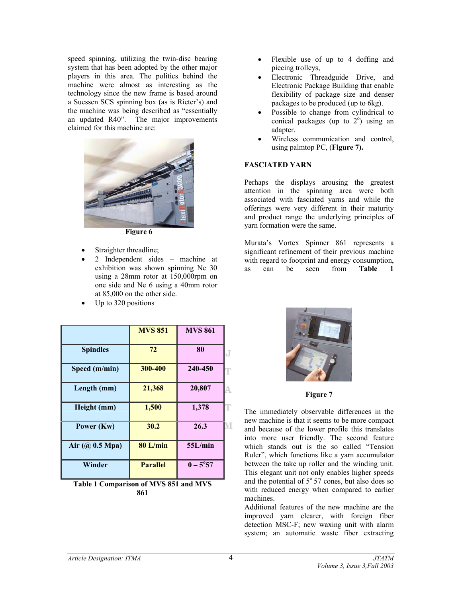speed spinning, utilizing the twin-disc bearing system that has been adopted by the other major players in this area. The politics behind the machine were almost as interesting as the technology since the new frame is based around a Suessen SCS spinning box (as is Rieter's) and the machine was being described as "essentially an updated R40". The major improvements claimed for this machine are:



**Figure 6** 

- Straighter threadline;
- 2 Independent sides machine at exhibition was shown spinning Ne 30 using a 28mm rotor at 150,000rpm on one side and Ne 6 using a 40mm rotor at 85,000 on the other side.
- Up to 320 positions

|                  | <b>MVS 851</b>  | <b>MVS 861</b>    |   |
|------------------|-----------------|-------------------|---|
| <b>Spindles</b>  | 72              | 80                | J |
| Speed (m/min)    | 300-400         | 240-450           | Г |
| Length (mm)      | 21,368          | 20,807            |   |
| Height (mm)      | 1,500           | 1,378             | г |
| Power (Kw)       | 30.2            | 26.3              | M |
| Air $(Q0.5 Mpa)$ | 80 L/min        | 55L/min           |   |
| Winder           | <b>Parallel</b> | $0 - 5^{\circ}57$ |   |

**Table 1 Comparison of MVS 851 and MVS 861** 

- Flexible use of up to 4 doffing and piecing trolleys,
- Electronic Threadguide Drive, and Electronic Package Building that enable flexibility of package size and denser packages to be produced (up to 6kg).
- Possible to change from cylindrical to conical packages (up to  $2^{\circ}$ ) using an adapter.
- Wireless communication and control, using palmtop PC, (**Figure 7).**

### **FASCIATED YARN**

Perhaps the displays arousing the greatest attention in the spinning area were both associated with fasciated yarns and while the offerings were very different in their maturity and product range the underlying principles of yarn formation were the same.

Murata's Vortex Spinner 861 represents a significant refinement of their previous machine with regard to footprint and energy consumption, as can be seen from **Table 1**



**Figure 7**

The immediately observable differences in the new machine is that it seems to be more compact and because of the lower profile this translates into more user friendly. The second feature which stands out is the so called "Tension Ruler", which functions like a yarn accumulator between the take up roller and the winding unit. This elegant unit not only enables higher speeds and the potential of  $5^{\circ}57$  cones, but also does so with reduced energy when compared to earlier machines.

Additional features of the new machine are the improved yarn clearer, with foreign fiber detection MSC-F; new waxing unit with alarm system; an automatic waste fiber extracting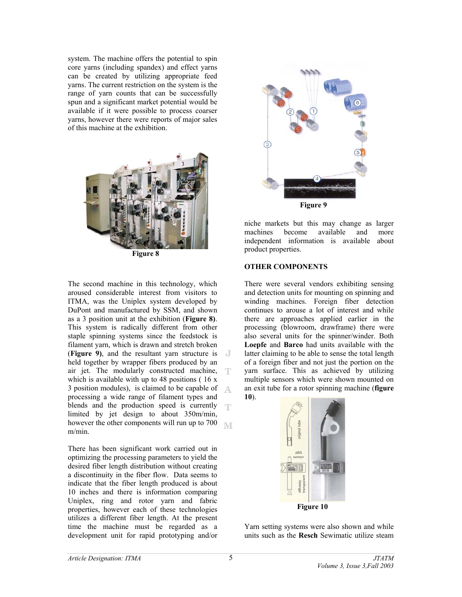system. The machine offers the potential to spin core yarns (including spandex) and effect yarns can be created by utilizing appropriate feed yarns. The current restriction on the system is the range of yarn counts that can be successfully spun and a significant market potential would be available if it were possible to process coarser yarns, however there were reports of major sales of this machine at the exhibition.



The second machine in this technology, which aroused considerable interest from visitors to ITMA, was the Uniplex system developed by DuPont and manufactured by SSM, and shown as a 3 position unit at the exhibition (**Figure 8)**. This system is radically different from other staple spinning systems since the feedstock is filament yarn, which is drawn and stretch broken (**Figure 9)**, and the resultant yarn structure is held together by wrapper fibers produced by an air jet. The modularly constructed machine, - T which is available with up to 48 positions (16 x 3 position modules), is claimed to be capable of processing a wide range of filament types and blends and the production speed is currently limited by jet design to about 350m/min, however the other components will run up to 700 **IVE** m/min.

There has been significant work carried out in optimizing the processing parameters to yield the desired fiber length distribution without creating a discontinuity in the fiber flow. Data seems to indicate that the fiber length produced is about 10 inches and there is information comparing Uniplex, ring and rotor yarn and fabric properties, however each of these technologies utilizes a different fiber length. At the present time the machine must be regarded as a development unit for rapid prototyping and/or



niche markets but this may change as larger machines become available and more independent information is available about product properties.

### **OTHER COMPONENTS**

There were several vendors exhibiting sensing and detection units for mounting on spinning and winding machines. Foreign fiber detection continues to arouse a lot of interest and while there are approaches applied earlier in the processing (blowroom, drawframe) there were also several units for the spinner/winder. Both **Loepfe** and **Barco** had units available with the latter claiming to be able to sense the total length of a foreign fiber and not just the portion on the yarn surface. This as achieved by utilizing multiple sensors which were shown mounted on an exit tube for a rotor spinning machine (**figure 10**).



Yarn setting systems were also shown and while units such as the **Resch** Sewimatic utilize steam

Δ

T